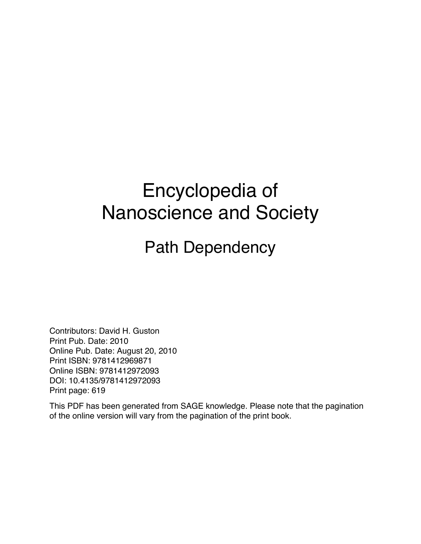## Encyclopedia of Nanoscience and Society

Path Dependency

Contributors: David H. Guston Print Pub. Date: 2010 Online Pub. Date: August 20, 2010 Print ISBN: 9781412969871 Online ISBN: 9781412972093 DOI: 10.4135/9781412972093 Print page: 619

This PDF has been generated from SAGE knowledge. Please note that the pagination of the online version will vary from the pagination of the print book.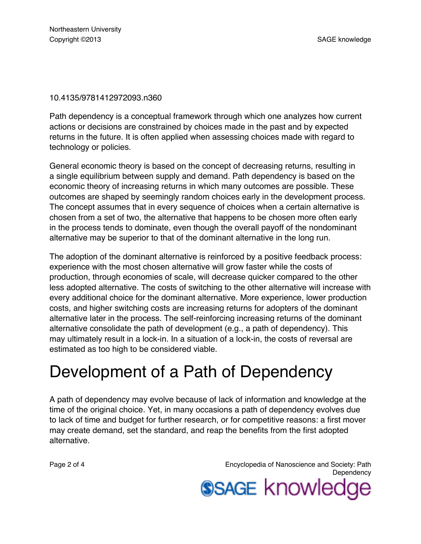## 10.4135/9781412972093.n360

Path dependency is a conceptual framework through which one analyzes how current actions or decisions are constrained by choices made in the past and by expected returns in the future. It is often applied when assessing choices made with regard to technology or policies.

General economic theory is based on the concept of decreasing returns, resulting in a single equilibrium between supply and demand. Path dependency is based on the economic theory of increasing returns in which many outcomes are possible. These outcomes are shaped by seemingly random choices early in the development process. The concept assumes that in every sequence of choices when a certain alternative is chosen from a set of two, the alternative that happens to be chosen more often early in the process tends to dominate, even though the overall payoff of the nondominant alternative may be superior to that of the dominant alternative in the long run.

The adoption of the dominant alternative is reinforced by a positive feedback process: experience with the most chosen alternative will grow faster while the costs of production, through economies of scale, will decrease quicker compared to the other less adopted alternative. The costs of switching to the other alternative will increase with every additional choice for the dominant alternative. More experience, lower production costs, and higher switching costs are increasing returns for adopters of the dominant alternative later in the process. The self-reinforcing increasing returns of the dominant alternative consolidate the path of development (e.g., a path of dependency). This may ultimately result in a lock-in. In a situation of a lock-in, the costs of reversal are estimated as too high to be considered viable.

## Development of a Path of Dependency

A path of dependency may evolve because of lack of information and knowledge at the time of the original choice. Yet, in many occasions a path of dependency evolves due to lack of time and budget for further research, or for competitive reasons: a first mover may create demand, set the standard, and reap the benefits from the first adopted alternative.

Page 2 of 4 Encyclopedia of Nanoscience and Society: Path **Dependency SSAGE knowledge**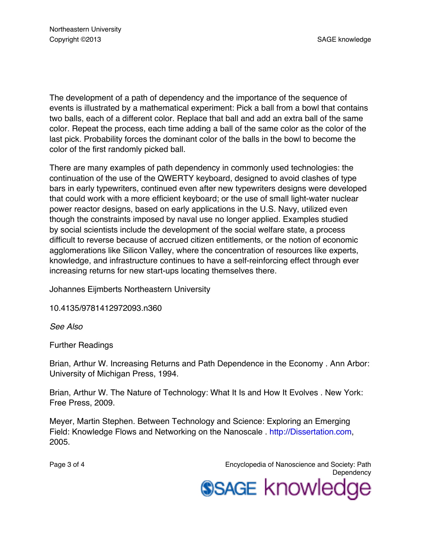The development of a path of dependency and the importance of the sequence of events is illustrated by a mathematical experiment: Pick a ball from a bowl that contains two balls, each of a different color. Replace that ball and add an extra ball of the same color. Repeat the process, each time adding a ball of the same color as the color of the last pick. Probability forces the dominant color of the balls in the bowl to become the color of the first randomly picked ball.

There are many examples of path dependency in commonly used technologies: the continuation of the use of the QWERTY keyboard, designed to avoid clashes of type bars in early typewriters, continued even after new typewriters designs were developed that could work with a more efficient keyboard; or the use of small light-water nuclear power reactor designs, based on early applications in the U.S. Navy, utilized even though the constraints imposed by naval use no longer applied. Examples studied by social scientists include the development of the social welfare state, a process difficult to reverse because of accrued citizen entitlements, or the notion of economic agglomerations like Silicon Valley, where the concentration of resources like experts, knowledge, and infrastructure continues to have a self-reinforcing effect through ever increasing returns for new start-ups locating themselves there.

Johannes Eijmberts Northeastern University

10.4135/9781412972093.n360

*See Also*

Further Readings

Brian, Arthur W. Increasing Returns and Path Dependence in the Economy . Ann Arbor: University of Michigan Press, 1994.

Brian, Arthur W. The Nature of Technology: What It Is and How It Evolves . New York: Free Press, 2009.

Meyer, Martin Stephen. Between Technology and Science: Exploring an Emerging Field: Knowledge Flows and Networking on the Nanoscale . [http://Dissertation.com,](http://Dissertation.com) 2005.

Page 3 of 4 Encyclopedia of Nanoscience and Society: Path **Dependency SSAGE knowledge**